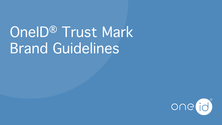# OneID<sup>®</sup> Trust Mark Brand Guidelines

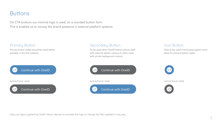# **Buttons**

On CTA buttons our minimal logo is used, on a rounded button form. This is enables us to convey the brand presence in external platform systems.

Primary button styles should be used where possible in the first instance.



Active/hover state Active/hover state



#### Primary Button **Secondary Button** Secondary Button Icon Button

To be used when OneID brand colours clash with external system colours or when used with similar background colours.





Only to be used if third party system wont allow for primary button styles.



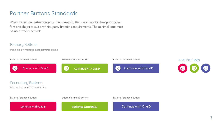# Partner Buttons Standards

When placed on partner systems, the primary button may have to change in colour, font and shape to suit any third party branding requirements. The minimal logo must be used where possible

## Primary Buttons

Using the minimal logo is the proffered option

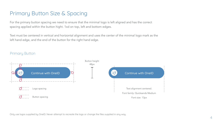# Primary Button Size & Spacing

For the primary button spacing we need to ensure that the minimal logo is left aligned and has the correct spacing applied within the button hight. 1xd on top, left and bottom edges.

Text must be centered in vertical and horizontal alignment and uses the center of the minimal logo mark as the left hand edge, and the end of the button for the right hand edge.



#### Primary Button

Only use logos supplied by OneID. Never attempt to recreate the logo or change the files supplied in any way.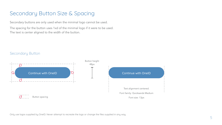# Secondary Button Size & Spacing

Secondary buttons are only used when the minimal logo cannot be used. The spacing for the button uses 1xd of the minimal logo if it were to be used. The text is center aligned to the width of the button.



### Secondary Button

Only use logos supplied by OneID. Never attempt to recreate the logo or change the files supplied in any way.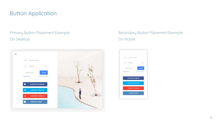# Button Application

## Primary Button Placement Example On Desktop



# Secondary Button Placement Example On Mobile